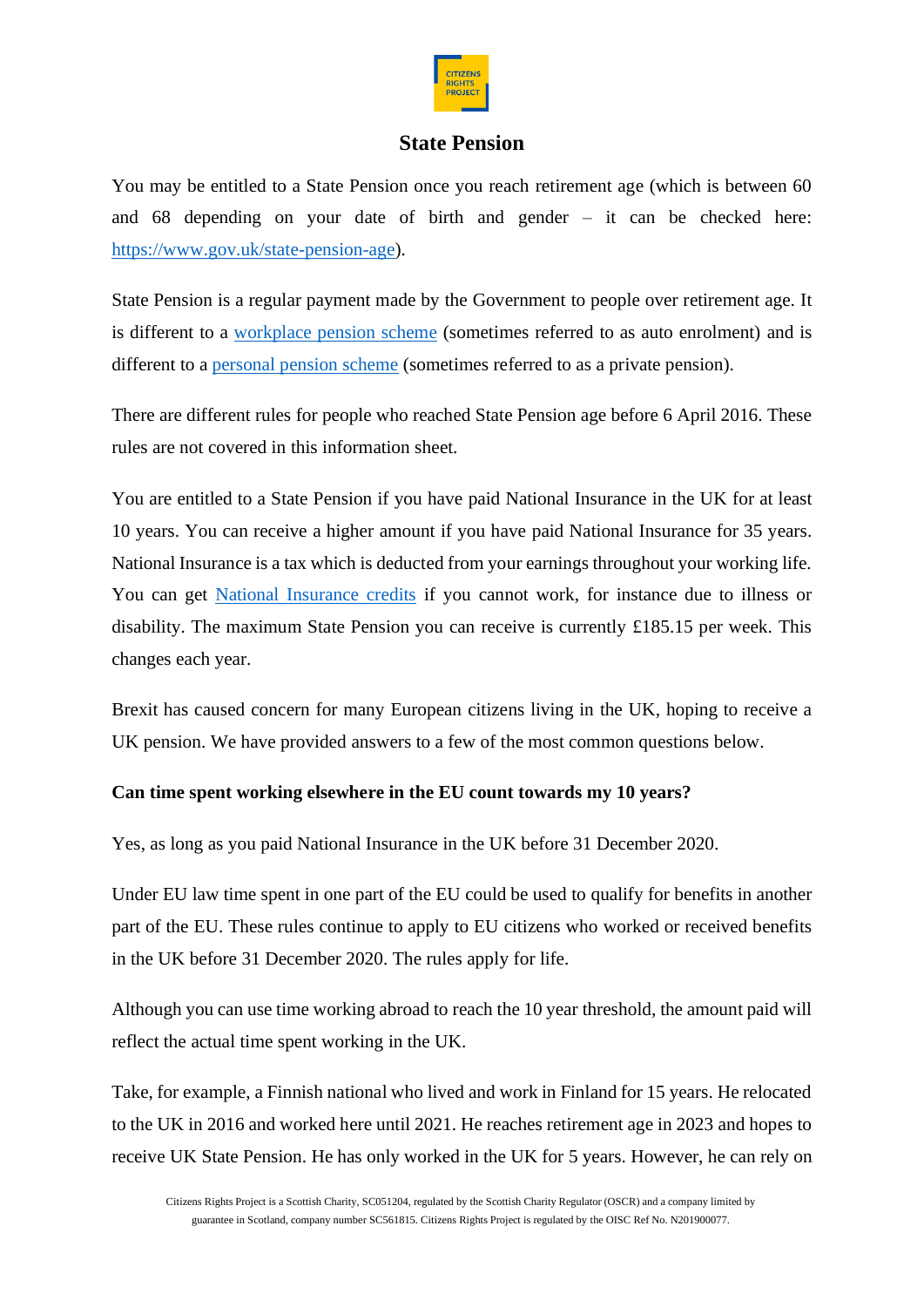

# **State Pension**

You may be entitled to a State Pension once you reach retirement age (which is between 60 and 68 depending on your date of birth and gender – it can be checked here: [https://www.gov.uk/state-pension-age\)](https://www.gov.uk/state-pension-age).

State Pension is a regular payment made by the Government to people over retirement age. It is different to a [workplace pension scheme](https://www.gov.uk/workplace-pensions) (sometimes referred to as auto enrolment) and is different to a [personal pension scheme](https://www.gov.uk/personal-pensions-your-rights) (sometimes referred to as a private pension).

There are different rules for people who reached State Pension age before 6 April 2016. These rules are not covered in this information sheet.

You are entitled to a State Pension if you have paid National Insurance in the UK for at least 10 years. You can receive a higher amount if you have paid National Insurance for 35 years. National Insurance is a tax which is deducted from your earnings throughout your working life. You can get [National Insurance credits](https://www.gov.uk/national-insurance-credits/eligibility) if you cannot work, for instance due to illness or disability. The maximum State Pension you can receive is currently £185.15 per week. This changes each year.

Brexit has caused concern for many European citizens living in the UK, hoping to receive a UK pension. We have provided answers to a few of the most common questions below.

# **Can time spent working elsewhere in the EU count towards my 10 years?**

Yes, as long as you paid National Insurance in the UK before 31 December 2020.

Under EU law time spent in one part of the EU could be used to qualify for benefits in another part of the EU. These rules continue to apply to EU citizens who worked or received benefits in the UK before 31 December 2020. The rules apply for life.

Although you can use time working abroad to reach the 10 year threshold, the amount paid will reflect the actual time spent working in the UK.

Take, for example, a Finnish national who lived and work in Finland for 15 years. He relocated to the UK in 2016 and worked here until 2021. He reaches retirement age in 2023 and hopes to receive UK State Pension. He has only worked in the UK for 5 years. However, he can rely on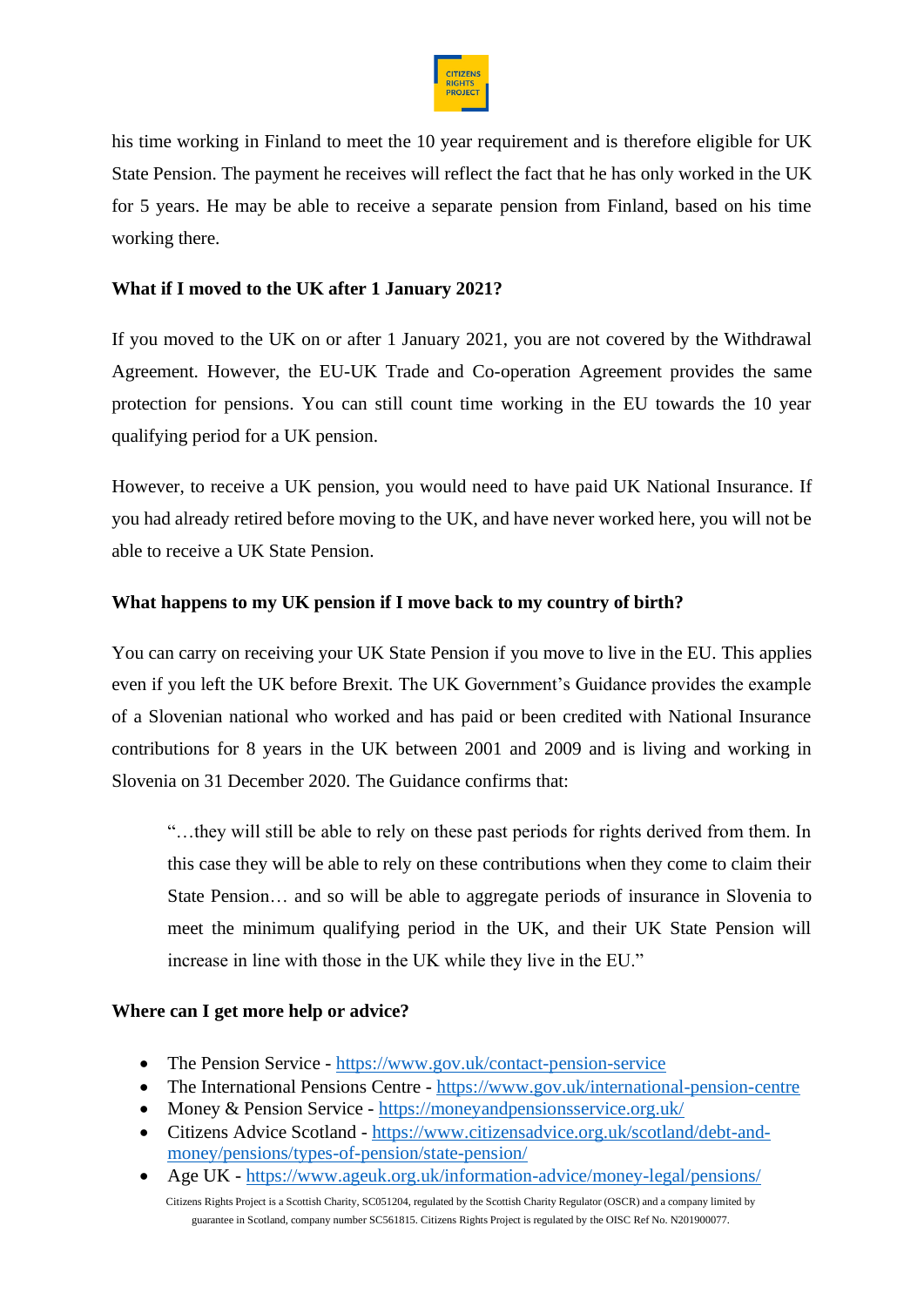

his time working in Finland to meet the 10 year requirement and is therefore eligible for UK State Pension. The payment he receives will reflect the fact that he has only worked in the UK for 5 years. He may be able to receive a separate pension from Finland, based on his time working there.

### **What if I moved to the UK after 1 January 2021?**

If you moved to the UK on or after 1 January 2021, you are not covered by the Withdrawal Agreement. However, the EU-UK Trade and Co-operation Agreement provides the same protection for pensions. You can still count time working in the EU towards the 10 year qualifying period for a UK pension.

However, to receive a UK pension, you would need to have paid UK National Insurance. If you had already retired before moving to the UK, and have never worked here, you will not be able to receive a UK State Pension.

### **What happens to my UK pension if I move back to my country of birth?**

You can carry on receiving your UK State Pension if you move to live in the EU. This applies even if you left the UK before Brexit. The UK Government's Guidance provides the example of a Slovenian national who worked and has paid or been credited with National Insurance contributions for 8 years in the UK between 2001 and 2009 and is living and working in Slovenia on 31 December 2020. The Guidance confirms that:

"…they will still be able to rely on these past periods for rights derived from them. In this case they will be able to rely on these contributions when they come to claim their State Pension… and so will be able to aggregate periods of insurance in Slovenia to meet the minimum qualifying period in the UK, and their UK State Pension will increase in line with those in the UK while they live in the EU."

### **Where can I get more help or advice?**

- The Pension Service <https://www.gov.uk/contact-pension-service>
- The International Pensions Centre <https://www.gov.uk/international-pension-centre>
- Money & Pension Service <https://moneyandpensionsservice.org.uk/>
- Citizens Advice Scotland [https://www.citizensadvice.org.uk/scotland/debt-and](https://www.citizensadvice.org.uk/scotland/debt-and-money/pensions/types-of-pension/state-pension/)[money/pensions/types-of-pension/state-pension/](https://www.citizensadvice.org.uk/scotland/debt-and-money/pensions/types-of-pension/state-pension/)
- Age UK <https://www.ageuk.org.uk/information-advice/money-legal/pensions/>

Citizens Rights Project is a Scottish Charity, SC051204, regulated by the Scottish Charity Regulator (OSCR) and a company limited by guarantee in Scotland, company number SC561815. Citizens Rights Project is regulated by the OISC Ref No. N201900077.